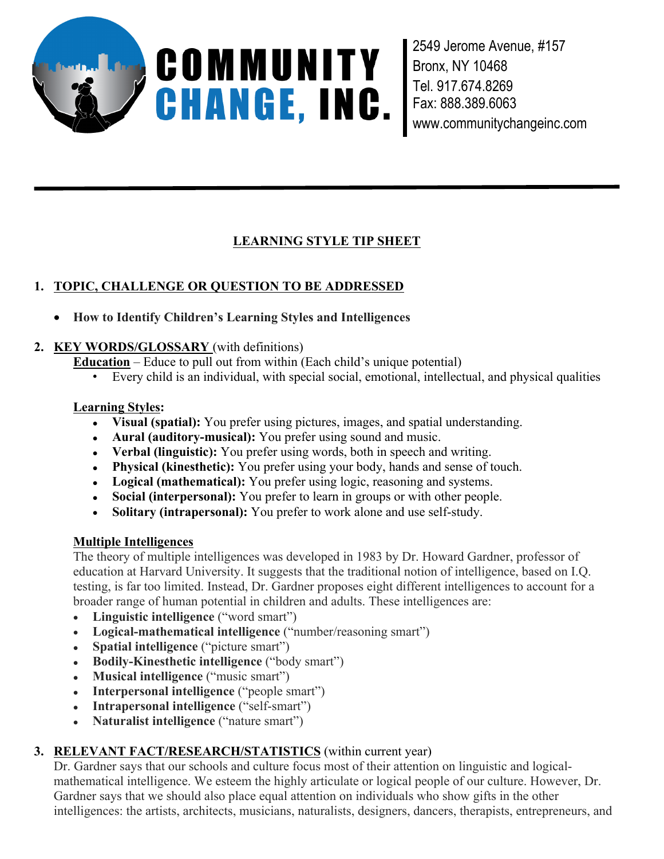

2549 Jerome Avenue, #157 Bronx, NY 10468 Tel. 917.674.8269 Fax: 888.389.6063 www.communitychangeinc.com

# **LEARNING STYLE TIP SHEET**

# **1. TOPIC, CHALLENGE OR QUESTION TO BE ADDRESSED**

**How to Identify Children's Learning Styles and Intelligences**

## **2. KEY WORDS/GLOSSARY** (with definitions)

**Education** – Educe to pull out from within (Each child's unique potential)

• Every child is an individual, with special social, emotional, intellectual, and physical qualities

## **Learning Styles:**

- **Visual (spatial):** You prefer using pictures, images, and spatial understanding.
- **Aural (auditory-musical):** You prefer using sound and music.
- **Verbal (linguistic):** You prefer using words, both in speech and writing.
- **Physical (kinesthetic):** You prefer using your body, hands and sense of touch.
- **Logical (mathematical):** You prefer using logic, reasoning and systems.
- **Social (interpersonal):** You prefer to learn in groups or with other people.
- **Solitary (intrapersonal):** You prefer to work alone and use self-study.

## **Multiple Intelligences**

The theory of multiple intelligences was developed in 1983 by Dr. Howard Gardner, professor of education at Harvard University. It suggests that the traditional notion of intelligence, based on I.Q. testing, is far too limited. Instead, Dr. Gardner proposes eight different intelligences to account for a broader range of human potential in children and adults. These intelligences are:

- **Linguistic intelligence** ("word smart")
- **Logical-mathematical intelligence** ("number/reasoning smart")
- **Spatial intelligence** ("picture smart")
- **Bodily-Kinesthetic intelligence** ("body smart")
- **Musical intelligence** ("music smart")
- **Interpersonal intelligence** ("people smart")
- **Intrapersonal intelligence** ("self-smart")
- **Naturalist intelligence** ("nature smart")

## **3. RELEVANT FACT/RESEARCH/STATISTICS** (within current year)

Dr. Gardner says that our schools and culture focus most of their attention on linguistic and logicalmathematical intelligence. We esteem the highly articulate or logical people of our culture. However, Dr. Gardner says that we should also place equal attention on individuals who show gifts in the other intelligences: the artists, architects, musicians, naturalists, designers, dancers, therapists, entrepreneurs, and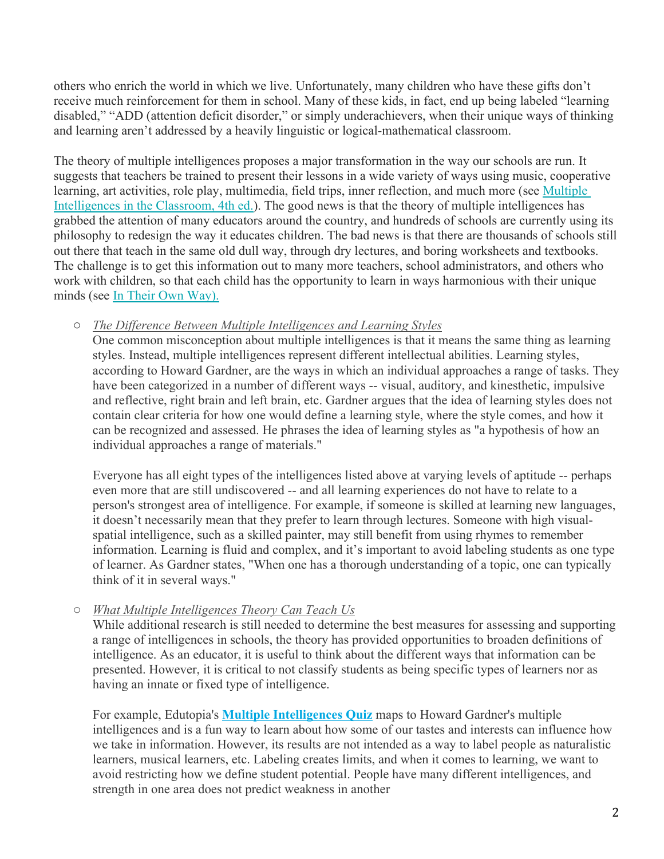others who enrich the world in which we live. Unfortunately, many children who have these gifts don't receive much reinforcement for them in school. Many of these kids, in fact, end up being labeled "learning disabled," "ADD (attention deficit disorder," or simply underachievers, when their unique ways of thinking and learning aren't addressed by a heavily linguistic or logical-mathematical classroom.

The theory of multiple intelligences proposes a major transformation in the way our schools are run. It suggests that teachers be trained to present their lessons in a wide variety of ways using music, cooperative learning, art activities, role play, multimedia, field trips, inner reflection, and much more (see Multiple Intelligences in the Classroom, 4th ed.). The good news is that the theory of multiple intelligences has grabbed the attention of many educators around the country, and hundreds of schools are currently using its philosophy to redesign the way it educates children. The bad news is that there are thousands of schools still out there that teach in the same old dull way, through dry lectures, and boring worksheets and textbooks. The challenge is to get this information out to many more teachers, school administrators, and others who work with children, so that each child has the opportunity to learn in ways harmonious with their unique minds (see In Their Own Way).

#### o *The Difference Between Multiple Intelligences and Learning Styles*

One common misconception about multiple intelligences is that it means the same thing as learning styles. Instead, multiple intelligences represent different intellectual abilities. Learning styles, according to Howard Gardner, are the ways in which an individual approaches a range of tasks. They have been categorized in a number of different ways -- visual, auditory, and kinesthetic, impulsive and reflective, right brain and left brain, etc. Gardner argues that the idea of learning styles does not contain clear criteria for how one would define a learning style, where the style comes, and how it can be recognized and assessed. He phrases the idea of learning styles as "a hypothesis of how an individual approaches a range of materials."

Everyone has all eight types of the intelligences listed above at varying levels of aptitude -- perhaps even more that are still undiscovered -- and all learning experiences do not have to relate to a person's strongest area of intelligence. For example, if someone is skilled at learning new languages, it doesn't necessarily mean that they prefer to learn through lectures. Someone with high visualspatial intelligence, such as a skilled painter, may still benefit from using rhymes to remember information. Learning is fluid and complex, and it's important to avoid labeling students as one type of learner. As Gardner states, "When one has a thorough understanding of a topic, one can typically think of it in several ways."

o *What Multiple Intelligences Theory Can Teach Us*

While additional research is still needed to determine the best measures for assessing and supporting a range of intelligences in schools, the theory has provided opportunities to broaden definitions of intelligence. As an educator, it is useful to think about the different ways that information can be presented. However, it is critical to not classify students as being specific types of learners nor as having an innate or fixed type of intelligence.

For example, Edutopia's **Multiple Intelligences Quiz** maps to Howard Gardner's multiple intelligences and is a fun way to learn about how some of our tastes and interests can influence how we take in information. However, its results are not intended as a way to label people as naturalistic learners, musical learners, etc. Labeling creates limits, and when it comes to learning, we want to avoid restricting how we define student potential. People have many different intelligences, and strength in one area does not predict weakness in another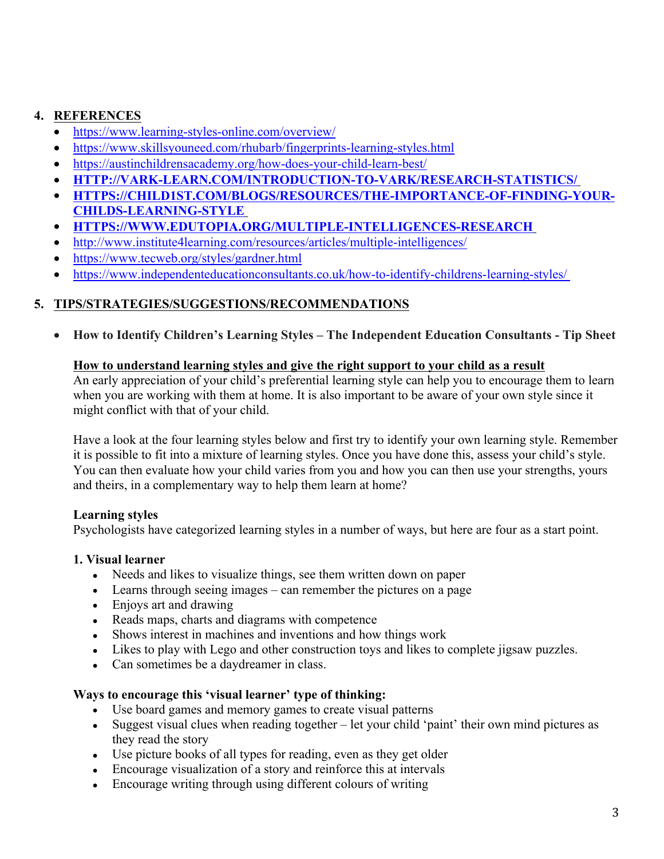## **4. REFERENCES**

- https://www.learning-styles-online.com/overview/
- https://www.skillsyouneed.com/rhubarb/fingerprints-learning-styles.html
- https://austinchildrensacademy.org/how-does-your-child-learn-best/
- **HTTP://VARK-LEARN.COM/INTRODUCTION-TO-VARK/RESEARCH-STATISTICS/**
- **HTTPS://CHILD1ST.COM/BLOGS/RESOURCES/THE-IMPORTANCE-OF-FINDING-YOUR-CHILDS-LEARNING-STYLE**
- **HTTPS://WWW.EDUTOPIA.ORG/MULTIPLE-INTELLIGENCES-RESEARCH**
- http://www.institute4learning.com/resources/articles/multiple-intelligences/
- https://www.tecweb.org/styles/gardner.html
- https://www.independenteducationconsultants.co.uk/how-to-identify-childrens-learning-styles/

### **5. TIPS/STRATEGIES/SUGGESTIONS/RECOMMENDATIONS**

**How to Identify Children's Learning Styles – The Independent Education Consultants - Tip Sheet**

#### **How to understand learning styles and give the right support to your child as a result**

An early appreciation of your child's preferential learning style can help you to encourage them to learn when you are working with them at home. It is also important to be aware of your own style since it might conflict with that of your child.

Have a look at the four learning styles below and first try to identify your own learning style. Remember it is possible to fit into a mixture of learning styles. Once you have done this, assess your child's style. You can then evaluate how your child varies from you and how you can then use your strengths, yours and theirs, in a complementary way to help them learn at home?

## **Learning styles**

Psychologists have categorized learning styles in a number of ways, but here are four as a start point.

#### **1. Visual learner**

- Needs and likes to visualize things, see them written down on paper
- Learns through seeing images can remember the pictures on a page
- Enjoys art and drawing
- Reads maps, charts and diagrams with competence
- Shows interest in machines and inventions and how things work
- Likes to play with Lego and other construction toys and likes to complete jigsaw puzzles.
- Can sometimes be a daydreamer in class.

#### **Ways to encourage this 'visual learner' type of thinking:**

- Use board games and memory games to create visual patterns
- Suggest visual clues when reading together let your child 'paint' their own mind pictures as they read the story
- Use picture books of all types for reading, even as they get older
- Encourage visualization of a story and reinforce this at intervals
- Encourage writing through using different colours of writing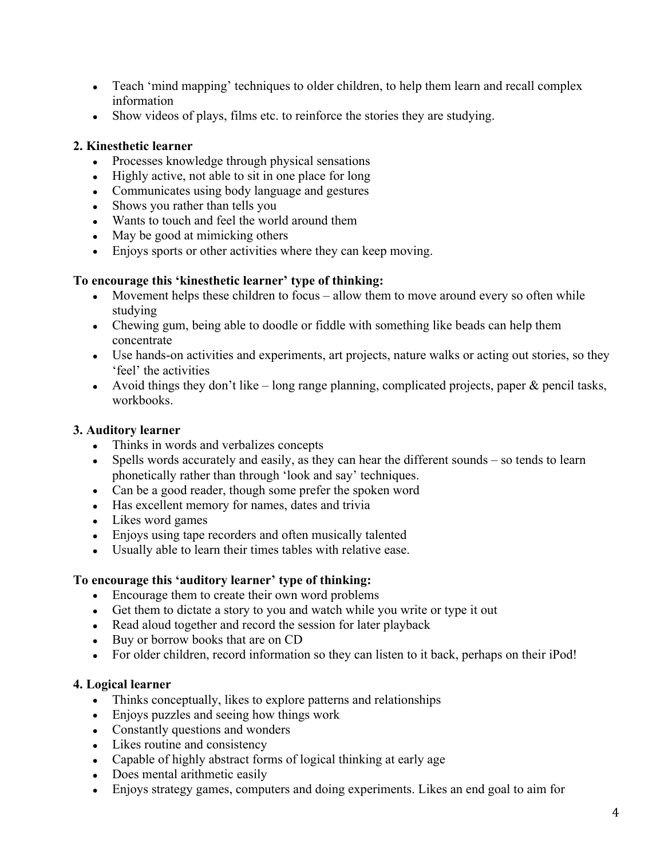- Teach 'mind mapping' techniques to older children, to help them learn and recall complex information
- Show videos of plays, films etc. to reinforce the stories they are studying.

#### **2. Kinesthetic learner**

- Processes knowledge through physical sensations
- Highly active, not able to sit in one place for long
- Communicates using body language and gestures
- Shows you rather than tells you
- Wants to touch and feel the world around them
- May be good at mimicking others
- Enjoys sports or other activities where they can keep moving.

### **To encourage this 'kinesthetic learner' type of thinking:**

- Movement helps these children to focus allow them to move around every so often while studying
- Chewing gum, being able to doodle or fiddle with something like beads can help them concentrate
- Use hands-on activities and experiments, art projects, nature walks or acting out stories, so they 'feel' the activities
- Avoid things they don't like long range planning, complicated projects, paper  $\&$  pencil tasks, workbooks.

### **3. Auditory learner**

- Thinks in words and verbalizes concepts
- Spells words accurately and easily, as they can hear the different sounds so tends to learn phonetically rather than through 'look and say' techniques.
- Can be a good reader, though some prefer the spoken word
- Has excellent memory for names, dates and trivia
- Likes word games
- Enjoys using tape recorders and often musically talented
- Usually able to learn their times tables with relative ease.

## **To encourage this 'auditory learner' type of thinking:**

- Encourage them to create their own word problems
- Get them to dictate a story to you and watch while you write or type it out
- Read aloud together and record the session for later playback
- Buy or borrow books that are on CD
- For older children, record information so they can listen to it back, perhaps on their iPod!

## **4. Logical learner**

- Thinks conceptually, likes to explore patterns and relationships
- Enjoys puzzles and seeing how things work
- Constantly questions and wonders
- Likes routine and consistency
- Capable of highly abstract forms of logical thinking at early age
- Does mental arithmetic easily
- Enjoys strategy games, computers and doing experiments. Likes an end goal to aim for